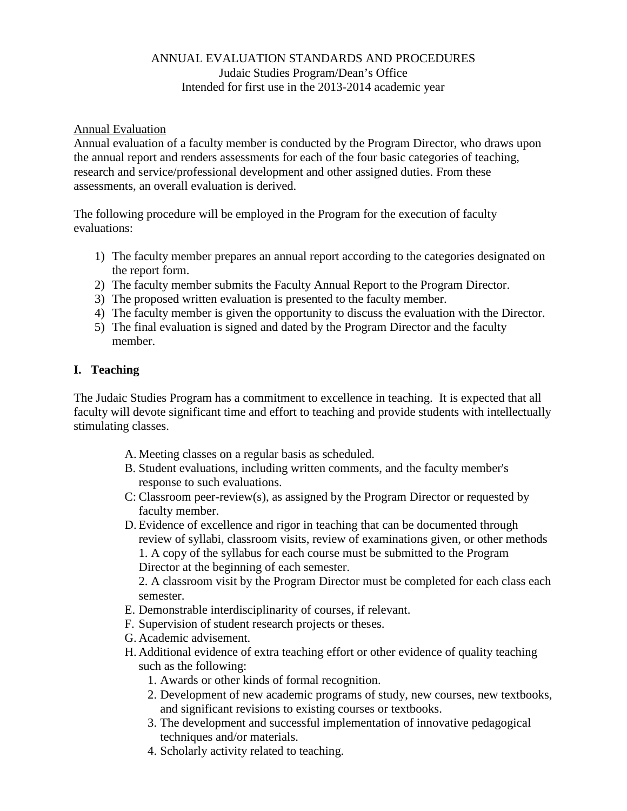## ANNUAL EVALUATION STANDARDS AND PROCEDURES Judaic Studies Program/Dean's Office Intended for first use in the 2013-2014 academic year

### Annual Evaluation

Annual evaluation of a faculty member is conducted by the Program Director, who draws upon the annual report and renders assessments for each of the four basic categories of teaching, research and service/professional development and other assigned duties. From these assessments, an overall evaluation is derived.

The following procedure will be employed in the Program for the execution of faculty evaluations:

- 1) The faculty member prepares an annual report according to the categories designated on the report form.
- 2) The faculty member submits the Faculty Annual Report to the Program Director.
- 3) The proposed written evaluation is presented to the faculty member.
- 4) The faculty member is given the opportunity to discuss the evaluation with the Director.
- 5) The final evaluation is signed and dated by the Program Director and the faculty member.

## **I. Teaching**

The Judaic Studies Program has a commitment to excellence in teaching. It is expected that all faculty will devote significant time and effort to teaching and provide students with intellectually stimulating classes.

- A. Meeting classes on a regular basis as scheduled.
- B. Student evaluations, including written comments, and the faculty member's response to such evaluations.
- C: Classroom peer-review(s), as assigned by the Program Director or requested by faculty member.
- D. Evidence of excellence and rigor in teaching that can be documented through review of syllabi, classroom visits, review of examinations given, or other methods 1. A copy of the syllabus for each course must be submitted to the Program Director at the beginning of each semester.

2. A classroom visit by the Program Director must be completed for each class each semester.

- E. Demonstrable interdisciplinarity of courses, if relevant.
- F. Supervision of student research projects or theses.
- G. Academic advisement.
- H. Additional evidence of extra teaching effort or other evidence of quality teaching such as the following:
	- 1. Awards or other kinds of formal recognition.
	- 2. Development of new academic programs of study, new courses, new textbooks, and significant revisions to existing courses or textbooks.
	- 3. The development and successful implementation of innovative pedagogical techniques and/or materials.
	- 4. Scholarly activity related to teaching.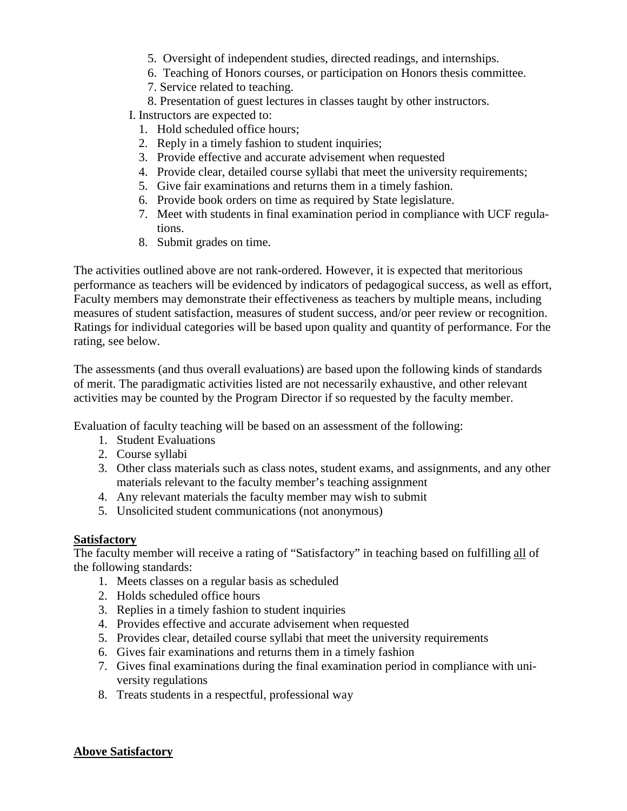- 5. Oversight of independent studies, directed readings, and internships.
- 6. Teaching of Honors courses, or participation on Honors thesis committee.
- 7. Service related to teaching.
- 8. Presentation of guest lectures in classes taught by other instructors.

I. Instructors are expected to:

- 1. Hold scheduled office hours;
- 2. Reply in a timely fashion to student inquiries;
- 3. Provide effective and accurate advisement when requested
- 4. Provide clear, detailed course syllabi that meet the university requirements;
- 5. Give fair examinations and returns them in a timely fashion.
- 6. Provide book orders on time as required by State legislature.
- 7. Meet with students in final examination period in compliance with UCF regulations.
- 8. Submit grades on time.

The activities outlined above are not rank-ordered. However, it is expected that meritorious performance as teachers will be evidenced by indicators of pedagogical success, as well as effort, Faculty members may demonstrate their effectiveness as teachers by multiple means, including measures of student satisfaction, measures of student success, and/or peer review or recognition. Ratings for individual categories will be based upon quality and quantity of performance. For the rating, see below.

The assessments (and thus overall evaluations) are based upon the following kinds of standards of merit. The paradigmatic activities listed are not necessarily exhaustive, and other relevant activities may be counted by the Program Director if so requested by the faculty member.

Evaluation of faculty teaching will be based on an assessment of the following:

- 1. Student Evaluations
- 2. Course syllabi
- 3. Other class materials such as class notes, student exams, and assignments, and any other materials relevant to the faculty member's teaching assignment
- 4. Any relevant materials the faculty member may wish to submit
- 5. Unsolicited student communications (not anonymous)

### **Satisfactory**

The faculty member will receive a rating of "Satisfactory" in teaching based on fulfilling all of the following standards:

- 1. Meets classes on a regular basis as scheduled
- 2. Holds scheduled office hours
- 3. Replies in a timely fashion to student inquiries
- 4. Provides effective and accurate advisement when requested
- 5. Provides clear, detailed course syllabi that meet the university requirements
- 6. Gives fair examinations and returns them in a timely fashion
- 7. Gives final examinations during the final examination period in compliance with university regulations
- 8. Treats students in a respectful, professional way

## **Above Satisfactory**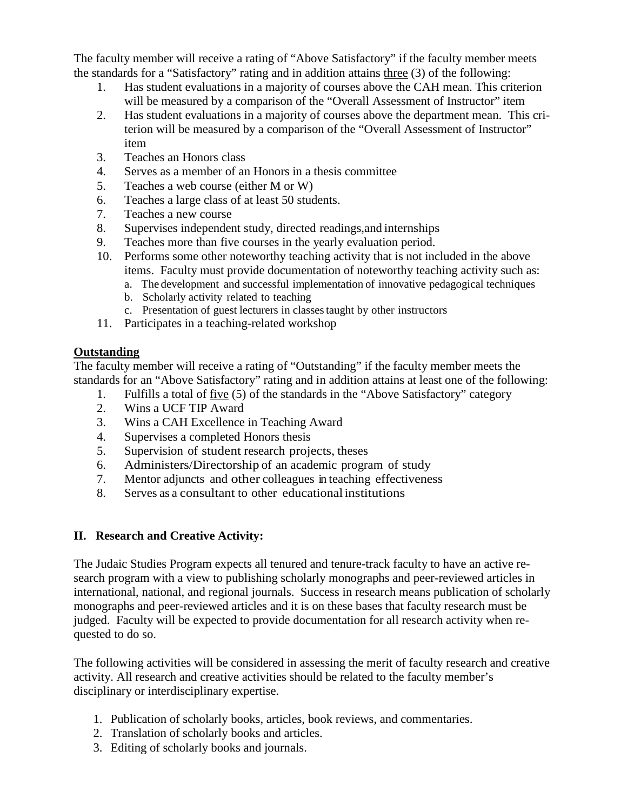The faculty member will receive a rating of "Above Satisfactory" if the faculty member meets the standards for a "Satisfactory" rating and in addition attains three (3) of the following:

- 1. Has student evaluations in a majority of courses above the CAH mean. This criterion will be measured by a comparison of the "Overall Assessment of Instructor" item
- 2. Has student evaluations in a majority of courses above the department mean. This criterion will be measured by a comparison of the "Overall Assessment of Instructor" item
- 3. Teaches an Honors class
- 4. Serves as a member of an Honors in a thesis committee
- 5. Teaches a web course (either M or W)
- 6. Teaches a large class of at least 50 students.
- 7. Teaches a new course
- 8. Supervises independent study, directed readings,and internships
- 9. Teaches more than five courses in the yearly evaluation period.
- 10. Performs some other noteworthy teaching activity that is not included in the above items. Faculty must provide documentation of noteworthy teaching activity such as:
	- a. The development and successful implementation of innovative pedagogical techniques
	- b. Scholarly activity related to teaching
	- c. Presentation of guest lecturers in classestaught by other instructors
- 11. Participates in a teaching-related workshop

## **Outstanding**

The faculty member will receive a rating of "Outstanding" if the faculty member meets the standards for an "Above Satisfactory" rating and in addition attains at least one of the following:

- 1. Fulfills a total of five (5) of the standards in the "Above Satisfactory" category
- 2. Wins a UCF TIP Award
- 3. Wins a CAH Excellence in Teaching Award
- 4. Supervises a completed Honors thesis
- 5. Supervision of student research projects, theses
- 6. Administers/Directorship of an academic program of study
- 7. Mentor adjuncts and other colleagues in teaching effectiveness
- 8. Serves as a consultant to other educationalinstitutions

# **II. Research and Creative Activity:**

The Judaic Studies Program expects all tenured and tenure-track faculty to have an active research program with a view to publishing scholarly monographs and peer-reviewed articles in international, national, and regional journals. Success in research means publication of scholarly monographs and peer-reviewed articles and it is on these bases that faculty research must be judged. Faculty will be expected to provide documentation for all research activity when requested to do so.

The following activities will be considered in assessing the merit of faculty research and creative activity. All research and creative activities should be related to the faculty member's disciplinary or interdisciplinary expertise.

- 1. Publication of scholarly books, articles, book reviews, and commentaries.
- 2. Translation of scholarly books and articles.
- 3. Editing of scholarly books and journals.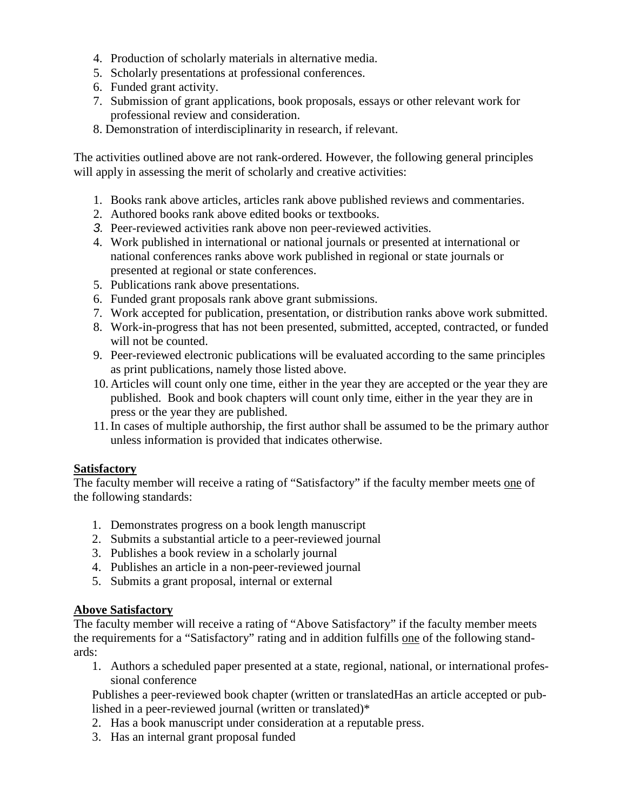- 4. Production of scholarly materials in alternative media.
- 5. Scholarly presentations at professional conferences.
- 6. Funded grant activity.
- 7. Submission of grant applications, book proposals, essays or other relevant work for professional review and consideration.
- 8. Demonstration of interdisciplinarity in research, if relevant.

The activities outlined above are not rank-ordered. However, the following general principles will apply in assessing the merit of scholarly and creative activities:

- 1. Books rank above articles, articles rank above published reviews and commentaries.
- 2. Authored books rank above edited books or textbooks.
- *3.* Peer-reviewed activities rank above non peer-reviewed activities.
- 4. Work published in international or national journals or presented at international or national conferences ranks above work published in regional or state journals or presented at regional or state conferences.
- 5. Publications rank above presentations.
- 6. Funded grant proposals rank above grant submissions.
- 7. Work accepted for publication, presentation, or distribution ranks above work submitted.
- 8. Work-in-progress that has not been presented, submitted, accepted, contracted, or funded will not be counted.
- 9. Peer-reviewed electronic publications will be evaluated according to the same principles as print publications, namely those listed above.
- 10. Articles will count only one time, either in the year they are accepted or the year they are published. Book and book chapters will count only time, either in the year they are in press or the year they are published.
- 11.In cases of multiple authorship, the first author shall be assumed to be the primary author unless information is provided that indicates otherwise.

### **Satisfactory**

The faculty member will receive a rating of "Satisfactory" if the faculty member meets one of the following standards:

- 1. Demonstrates progress on a book length manuscript
- 2. Submits a substantial article to a peer-reviewed journal
- 3. Publishes a book review in a scholarly journal
- 4. Publishes an article in a non-peer-reviewed journal
- 5. Submits a grant proposal, internal or external

## **Above Satisfactory**

The faculty member will receive a rating of "Above Satisfactory" if the faculty member meets the requirements for a "Satisfactory" rating and in addition fulfills one of the following standards:

1. Authors a scheduled paper presented at a state, regional, national, or international professional conference

Publishes a peer-reviewed book chapter (written or translatedHas an article accepted or published in a peer-reviewed journal (written or translated)\*

- 2. Has a book manuscript under consideration at a reputable press.
- 3. Has an internal grant proposal funded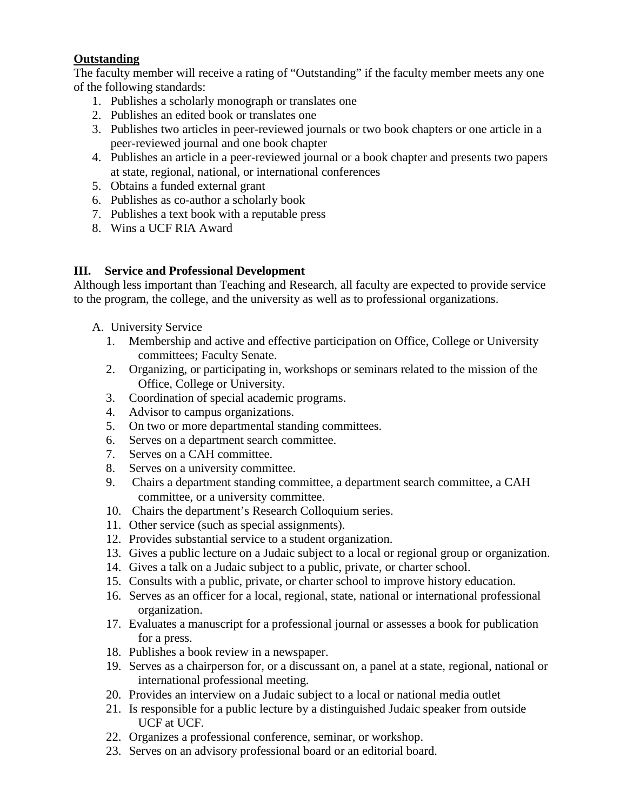## **Outstanding**

The faculty member will receive a rating of "Outstanding" if the faculty member meets any one of the following standards:

- 1. Publishes a scholarly monograph or translates one
- 2. Publishes an edited book or translates one
- 3. Publishes two articles in peer-reviewed journals or two book chapters or one article in a peer-reviewed journal and one book chapter
- 4. Publishes an article in a peer-reviewed journal or a book chapter and presents two papers at state, regional, national, or international conferences
- 5. Obtains a funded external grant
- 6. Publishes as co-author a scholarly book
- 7. Publishes a text book with a reputable press
- 8. Wins a UCF RIA Award

## **III. Service and Professional Development**

Although less important than Teaching and Research, all faculty are expected to provide service to the program, the college, and the university as well as to professional organizations.

- A. University Service
	- 1. Membership and active and effective participation on Office, College or University committees; Faculty Senate.
	- 2. Organizing, or participating in, workshops or seminars related to the mission of the Office, College or University.
	- 3. Coordination of special academic programs.
	- 4. Advisor to campus organizations.
	- 5. On two or more departmental standing committees.
	- 6. Serves on a department search committee.
	- 7. Serves on a CAH committee.
	- 8. Serves on a university committee.
	- 9. Chairs a department standing committee, a department search committee, a CAH committee, or a university committee.
	- 10. Chairs the department's Research Colloquium series.
	- 11. Other service (such as special assignments).
	- 12. Provides substantial service to a student organization.
	- 13. Gives a public lecture on a Judaic subject to a local or regional group or organization.
	- 14. Gives a talk on a Judaic subject to a public, private, or charter school.
	- 15. Consults with a public, private, or charter school to improve history education.
	- 16. Serves as an officer for a local, regional, state, national or international professional organization.
	- 17. Evaluates a manuscript for a professional journal or assesses a book for publication for a press.
	- 18. Publishes a book review in a newspaper.
	- 19. Serves as a chairperson for, or a discussant on, a panel at a state, regional, national or international professional meeting.
	- 20. Provides an interview on a Judaic subject to a local or national media outlet
	- 21. Is responsible for a public lecture by a distinguished Judaic speaker from outside UCF at UCF.
	- 22. Organizes a professional conference, seminar, or workshop.
	- 23. Serves on an advisory professional board or an editorial board.